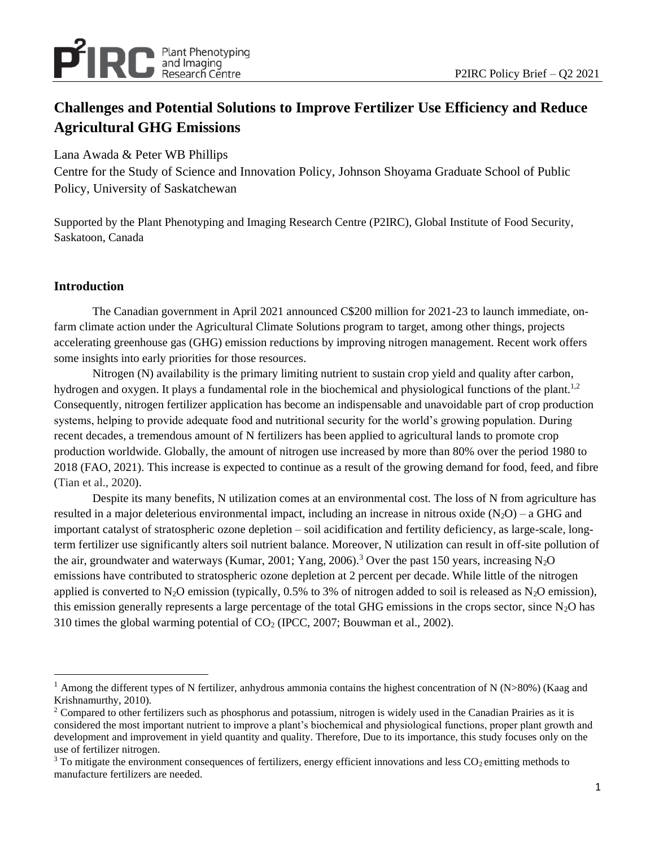

# **Challenges and Potential Solutions to Improve Fertilizer Use Efficiency and Reduce Agricultural GHG Emissions**

Lana Awada & Peter WB Phillips

Centre for the Study of Science and Innovation Policy, Johnson Shoyama Graduate School of Public Policy, University of Saskatchewan

Supported by the Plant Phenotyping and Imaging Research Centre (P2IRC), Global Institute of Food Security, Saskatoon, Canada

# **Introduction**

The Canadian government in April 2021 announced C\$200 million for 2021-23 to launch immediate, onfarm climate action under the Agricultural Climate Solutions program to target, among other things, projects accelerating greenhouse gas (GHG) emission reductions by improving nitrogen management. Recent work offers some insights into early priorities for those resources.

Nitrogen (N) availability is the primary limiting nutrient to sustain crop yield and quality after carbon, hydrogen and oxygen. It plays a fundamental role in the biochemical and physiological functions of the plant.<sup>1,2</sup> Consequently, nitrogen fertilizer application has become an indispensable and unavoidable part of crop production systems, helping to provide adequate food and nutritional security for the world's growing population. During recent decades, a tremendous amount of N fertilizers has been applied to agricultural lands to promote crop production worldwide. Globally, the amount of nitrogen use increased by more than 80% over the period 1980 to 2018 (FAO, 2021). This increase is expected to continue as a result of the growing demand for food, feed, and fibre (Tian et al., 2020).

Despite its many benefits, N utilization comes at an environmental cost. The loss of N from agriculture has resulted in a major deleterious environmental impact, including an increase in nitrous oxide  $(N_2O)$  – a GHG and important catalyst of stratospheric ozone depletion – soil acidification and fertility deficiency, as large-scale, longterm fertilizer use significantly alters soil nutrient balance. Moreover, N utilization can result in off-site pollution of the air, groundwater and waterways (Kumar, 2001; Yang, 2006).<sup>3</sup> Over the past 150 years, increasing N<sub>2</sub>O emissions have contributed to stratospheric ozone depletion at 2 percent per decade. While little of the nitrogen applied is converted to N<sub>2</sub>O emission (typically, 0.5% to 3% of nitrogen added to soil is released as N<sub>2</sub>O emission), this emission generally represents a large percentage of the total GHG emissions in the crops sector, since  $N_2O$  has 310 times the global warming potential of  $CO<sub>2</sub>$  (IPCC, 2007; Bouwman et al., 2002).

 $1$  Among the different types of N fertilizer, anhydrous ammonia contains the highest concentration of N (N>80%) (Kaag and Krishnamurthy, 2010).

 $2$  Compared to other fertilizers such as phosphorus and potassium, nitrogen is widely used in the Canadian Prairies as it is considered the most important nutrient to improve a plant's biochemical and physiological functions, proper plant growth and development and improvement in yield quantity and quality. Therefore, Due to its importance, this study focuses only on the use of fertilizer nitrogen.

 $3$  To mitigate the environment consequences of fertilizers, energy efficient innovations and less  $CO<sub>2</sub>$  emitting methods to manufacture fertilizers are needed.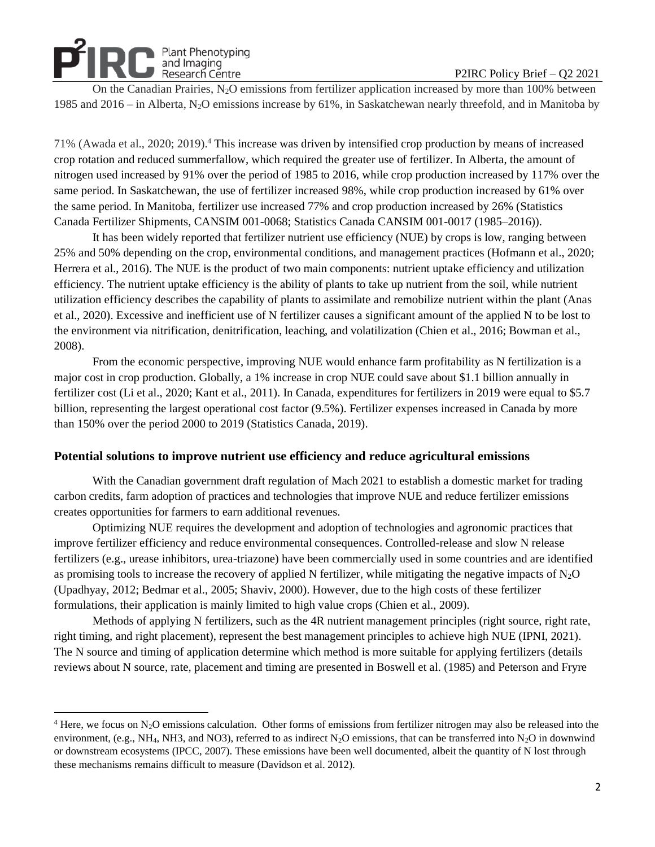# Plant Phenotyping<br>and Imaging<br>Research Centre Figure – P2IRC Policy Brief – Q2 2021

On the Canadian Prairies,  $N_2O$  emissions from fertilizer application increased by more than 100% between 1985 and 2016 – in Alberta, N2O emissions increase by 61%, in Saskatchewan nearly threefold, and in Manitoba by

71% (Awada et al., 2020; 2019).<sup>4</sup> This increase was driven by intensified crop production by means of increased crop rotation and reduced summerfallow, which required the greater use of fertilizer. In Alberta, the amount of nitrogen used increased by 91% over the period of 1985 to 2016, while crop production increased by 117% over the same period. In Saskatchewan, the use of fertilizer increased 98%, while crop production increased by 61% over the same period. In Manitoba, fertilizer use increased 77% and crop production increased by 26% (Statistics Canada Fertilizer Shipments, CANSIM 001-0068; Statistics Canada CANSIM 001-0017 (1985–2016)).

It has been widely reported that fertilizer nutrient use efficiency (NUE) by crops is low, ranging between 25% and 50% depending on the crop, environmental conditions, and management practices (Hofmann et al., 2020; Herrera et al., 2016). The NUE is the product of two main components: nutrient uptake efficiency and utilization efficiency. The nutrient uptake efficiency is the ability of plants to take up nutrient from the soil, while nutrient utilization efficiency describes the capability of plants to assimilate and remobilize nutrient within the plant (Anas et al., 2020). Excessive and inefficient use of N fertilizer causes a significant amount of the applied N to be lost to the environment via nitrification, denitrification, leaching, and volatilization (Chien et al., 2016; Bowman et al., 2008).

From the economic perspective, improving NUE would enhance farm profitability as N fertilization is a major cost in crop production. Globally, a 1% increase in crop NUE could save about \$1.1 billion annually in fertilizer cost (Li et al., 2020; Kant et al., 2011). In Canada, expenditures for fertilizers in 2019 were equal to \$5.7 billion, representing the largest operational cost factor (9.5%). Fertilizer expenses increased in Canada by more than 150% over the period 2000 to 2019 (Statistics Canada, 2019).

#### **Potential solutions to improve nutrient use efficiency and reduce agricultural emissions**

With the Canadian government draft regulation of Mach 2021 to establish a domestic market for trading carbon credits, farm adoption of practices and technologies that improve NUE and reduce fertilizer emissions creates opportunities for farmers to earn additional revenues.

Optimizing NUE requires the development and adoption of technologies and agronomic practices that improve fertilizer efficiency and reduce environmental consequences. Controlled-release and slow N release fertilizers (e.g., urease inhibitors, urea-triazone) have been commercially used in some countries and are identified as promising tools to increase the recovery of applied N fertilizer, while mitigating the negative impacts of  $N_2O$ (Upadhyay, 2012; Bedmar et al., 2005; Shaviv, 2000). However, due to the high costs of these fertilizer formulations, their application is mainly limited to high value crops (Chien et al., 2009).

Methods of applying N fertilizers, such as the 4R nutrient management principles (right source, right rate, right timing, and right placement), represent the best management principles to achieve high NUE (IPNI, 2021). The N source and timing of application determine which method is more suitable for applying fertilizers (details reviews about N source, rate, placement and timing are presented in Boswell et al. (1985) and Peterson and Fryre

 $4$  Here, we focus on N<sub>2</sub>O emissions calculation. Other forms of emissions from fertilizer nitrogen may also be released into the environment, (e.g., NH<sub>4</sub>, NH3, and NO3), referred to as indirect N<sub>2</sub>O emissions, that can be transferred into N<sub>2</sub>O in downwind or downstream ecosystems (IPCC, 2007). These emissions have been well documented, albeit the quantity of N lost through these mechanisms remains difficult to measure (Davidson et al. 2012).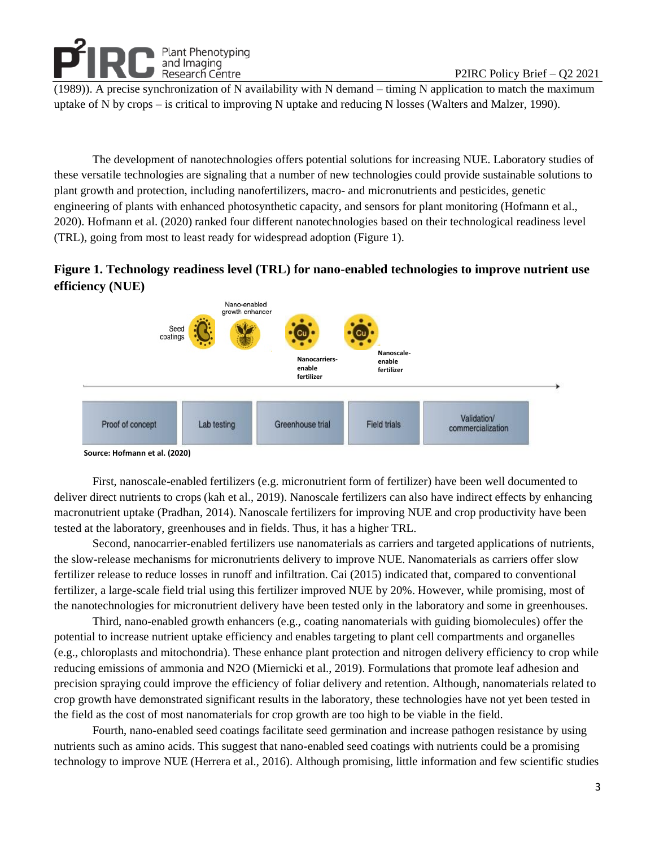**Plant Phenotyping** and Imaging Research Centre

(1989)). A precise synchronization of N availability with N demand – timing N application to match the maximum uptake of N by crops – is critical to improving N uptake and reducing N losses (Walters and Malzer, 1990).

The development of nanotechnologies offers potential solutions for increasing NUE. Laboratory studies of these versatile technologies are signaling that a number of new technologies could provide sustainable solutions to plant growth and protection, including nanofertilizers, macro- and micronutrients and pesticides, genetic engineering of plants with enhanced photosynthetic capacity, and sensors for plant monitoring (Hofmann et al., 2020). Hofmann et al. (2020) ranked four different nanotechnologies based on their technological readiness level (TRL), going from most to least ready for widespread adoption (Figure 1).

# **Figure 1. Technology readiness level (TRL) for nano-enabled technologies to improve nutrient use efficiency (NUE)**



**Source: Hofmann et al. (2020)**

First, nanoscale-enabled fertilizers (e.g. micronutrient form of fertilizer) have been well documented to deliver direct nutrients to crops (kah et al., 2019). Nanoscale fertilizers can also have indirect effects by enhancing macronutrient uptake (Pradhan, 2014). Nanoscale fertilizers for improving NUE and crop productivity have been tested at the laboratory, greenhouses and in fields. Thus, it has a higher TRL.

Second, nanocarrier-enabled fertilizers use nanomaterials as carriers and targeted applications of nutrients, the slow-release mechanisms for micronutrients delivery to improve NUE. Nanomaterials as carriers offer slow fertilizer release to reduce losses in runoff and infiltration. Cai (2015) indicated that, compared to conventional fertilizer, a large-scale field trial using this fertilizer improved NUE by 20%. However, while promising, most of the nanotechnologies for micronutrient delivery have been tested only in the laboratory and some in greenhouses.

Third, nano-enabled growth enhancers (e.g., coating nanomaterials with guiding biomolecules) offer the potential to increase nutrient uptake efficiency and enables targeting to plant cell compartments and organelles (e.g., chloroplasts and mitochondria). These enhance plant protection and nitrogen delivery efficiency to crop while reducing emissions of ammonia and N2O (Miernicki et al., 2019). Formulations that promote leaf adhesion and precision spraying could improve the efficiency of foliar delivery and retention. Although, nanomaterials related to crop growth have demonstrated significant results in the laboratory, these technologies have not yet been tested in the field as the cost of most nanomaterials for crop growth are too high to be viable in the field.

Fourth, nano-enabled seed coatings facilitate seed germination and increase pathogen resistance by using nutrients such as amino acids. This suggest that nano-enabled seed coatings with nutrients could be a promising technology to improve NUE (Herrera et al., 2016). Although promising, little information and few scientific studies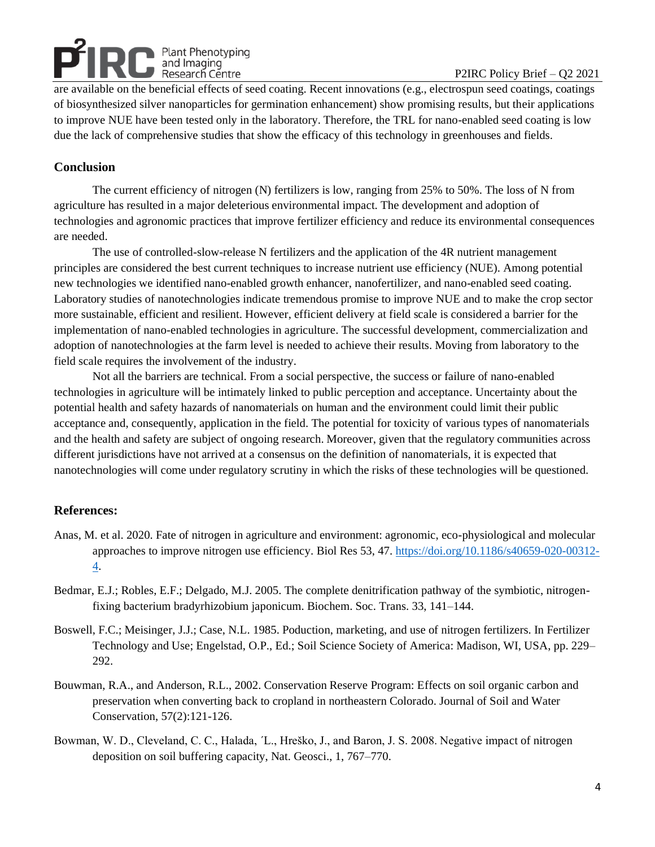Plant Phenotyping<br>
and Imaging<br>
Research Centre<br>
Research Centre are available on the beneficial effects of seed coating. Recent innovations (e.g., electrospun seed coatings, coatings of biosynthesized silver nanoparticles for germination enhancement) show promising results, but their applications to improve NUE have been tested only in the laboratory. Therefore, the TRL for nano-enabled seed coating is low due the lack of comprehensive studies that show the efficacy of this technology in greenhouses and fields.

### **Conclusion**

The current efficiency of nitrogen (N) fertilizers is low, ranging from 25% to 50%. The loss of N from agriculture has resulted in a major deleterious environmental impact. The development and adoption of technologies and agronomic practices that improve fertilizer efficiency and reduce its environmental consequences are needed.

The use of controlled-slow-release N fertilizers and the application of the 4R nutrient management principles are considered the best current techniques to increase nutrient use efficiency (NUE). Among potential new technologies we identified nano-enabled growth enhancer, nanofertilizer, and nano-enabled seed coating. Laboratory studies of nanotechnologies indicate tremendous promise to improve NUE and to make the crop sector more sustainable, efficient and resilient. However, efficient delivery at field scale is considered a barrier for the implementation of nano-enabled technologies in agriculture. The successful development, commercialization and adoption of nanotechnologies at the farm level is needed to achieve their results. Moving from laboratory to the field scale requires the involvement of the industry.

Not all the barriers are technical. From a social perspective, the success or failure of nano-enabled technologies in agriculture will be intimately linked to public perception and acceptance. Uncertainty about the potential health and safety hazards of nanomaterials on human and the environment could limit their public acceptance and, consequently, application in the field. The potential for toxicity of various types of nanomaterials and the health and safety are subject of ongoing research. Moreover, given that the regulatory communities across different jurisdictions have not arrived at a consensus on the definition of nanomaterials, it is expected that nanotechnologies will come under regulatory scrutiny in which the risks of these technologies will be questioned.

#### **References:**

- Anas, M. et al. 2020. Fate of nitrogen in agriculture and environment: agronomic, eco-physiological and molecular approaches to improve nitrogen use efficiency. Biol Res 53, 47[. https://doi.org/10.1186/s40659-020-00312-](https://doi.org/10.1186/s40659-020-00312-4) [4.](https://doi.org/10.1186/s40659-020-00312-4)
- Bedmar, E.J.; Robles, E.F.; Delgado, M.J. 2005. The complete denitrification pathway of the symbiotic, nitrogenfixing bacterium bradyrhizobium japonicum. Biochem. Soc. Trans. 33, 141–144.
- Boswell, F.C.; Meisinger, J.J.; Case, N.L. 1985. Poduction, marketing, and use of nitrogen fertilizers. In Fertilizer Technology and Use; Engelstad, O.P., Ed.; Soil Science Society of America: Madison, WI, USA, pp. 229– 292.
- Bouwman, R.A., and Anderson, R.L., 2002. Conservation Reserve Program: Effects on soil organic carbon and preservation when converting back to cropland in northeastern Colorado. Journal of Soil and Water Conservation, 57(2):121-126.
- Bowman, W. D., Cleveland, C. C., Halada, ´L., Hreško, J., and Baron, J. S. 2008. Negative impact of nitrogen deposition on soil buffering capacity, Nat. Geosci., 1, 767–770.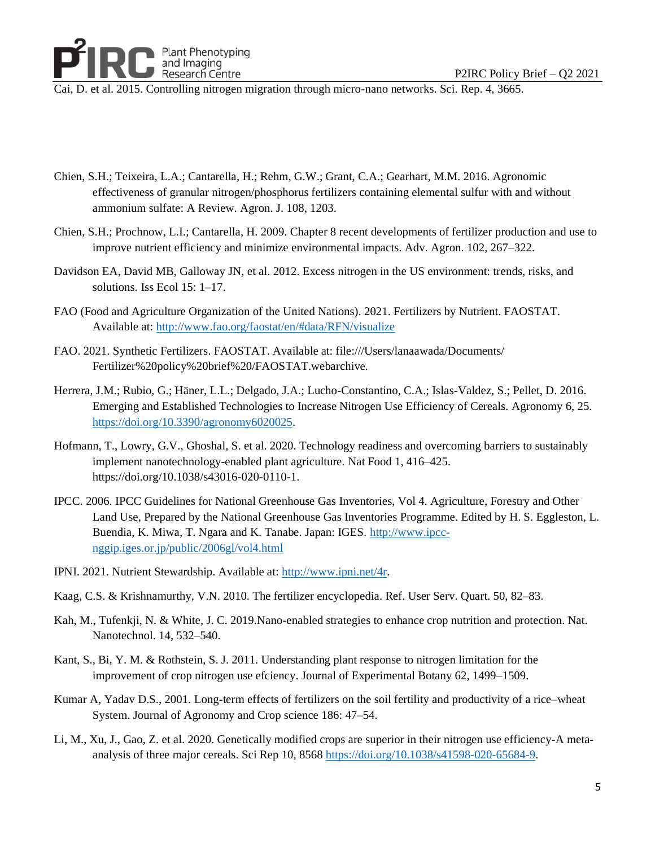

Cai, D. et al. 2015. Controlling nitrogen migration through micro-nano networks. Sci. Rep. 4, 3665.

- Chien, S.H.; Teixeira, L.A.; Cantarella, H.; Rehm, G.W.; Grant, C.A.; Gearhart, M.M. 2016. Agronomic effectiveness of granular nitrogen/phosphorus fertilizers containing elemental sulfur with and without ammonium sulfate: A Review. Agron. J. 108, 1203.
- Chien, S.H.; Prochnow, L.I.; Cantarella, H. 2009. Chapter 8 recent developments of fertilizer production and use to improve nutrient efficiency and minimize environmental impacts. Adv. Agron. 102, 267–322.
- Davidson EA, David MB, Galloway JN, et al. 2012. Excess nitrogen in the US environment: trends, risks, and solutions. Iss Ecol 15: 1–17.
- FAO (Food and Agriculture Organization of the United Nations). 2021. Fertilizers by Nutrient. FAOSTAT. Available at[: http://www.fao.org/faostat/en/#data/RFN/visualize](http://www.fao.org/faostat/en/#data/RFN/visualize)
- FAO. 2021. Synthetic Fertilizers. FAOSTAT. Available at: file:///Users/lanaawada/Documents/ Fertilizer%20policy%20brief%20/FAOSTAT.webarchive.
- Herrera, J.M.; Rubio, G.; Häner, L.L.; Delgado, J.A.; Lucho-Constantino, C.A.; Islas-Valdez, S.; Pellet, D. 2016. Emerging and Established Technologies to Increase Nitrogen Use Efficiency of Cereals. Agronomy 6, 25. [https://doi.org/10.3390/agronomy6020025.](https://doi.org/10.3390/agronomy6020025)
- Hofmann, T., Lowry, G.V., Ghoshal, S. et al. 2020. Technology readiness and overcoming barriers to sustainably implement nanotechnology-enabled plant agriculture. Nat Food 1, 416–425. https://doi.org/10.1038/s43016-020-0110-1.
- IPCC. 2006. IPCC Guidelines for National Greenhouse Gas Inventories, Vol 4. Agriculture, Forestry and Other Land Use, Prepared by the National Greenhouse Gas Inventories Programme. Edited by H. S. Eggleston, L. Buendia, K. Miwa, T. Ngara and K. Tanabe. Japan: IGES. [http://www.ipcc](http://www.ipcc-nggip.iges.or.jp/public/2006gl/vol4.html)[nggip.iges.or.jp/public/2006gl/vol4.html](http://www.ipcc-nggip.iges.or.jp/public/2006gl/vol4.html)
- IPNI. 2021. Nutrient Stewardship. Available at: [http://www.ipni.net/4r.](http://www.ipni.net/4r)
- Kaag, C.S. & Krishnamurthy, V.N. 2010. The fertilizer encyclopedia. Ref. User Serv. Quart. 50, 82–83.
- Kah, M., Tufenkji, N. & White, J. C. 2019.Nano-enabled strategies to enhance crop nutrition and protection. Nat. Nanotechnol. 14, 532–540.
- Kant, S., Bi, Y. M. & Rothstein, S. J. 2011. Understanding plant response to nitrogen limitation for the improvement of crop nitrogen use efciency. Journal of Experimental Botany 62, 1499–1509.
- Kumar A, Yadav D.S., 2001. Long-term effects of fertilizers on the soil fertility and productivity of a rice–wheat System. Journal of Agronomy and Crop science 186: 47–54.
- Li, M., Xu, J., Gao, Z. et al. 2020. Genetically modified crops are superior in their nitrogen use efficiency-A metaanalysis of three major cereals. Sci Rep 10, 8568 [https://doi.org/10.1038/s41598-020-65684-9.](https://doi.org/10.1038/s41598-020-65684-9)